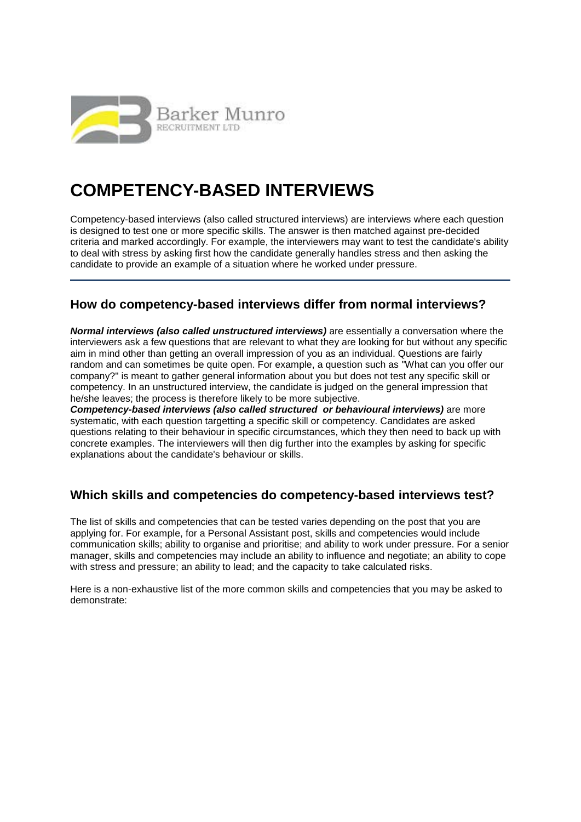

# **COMPETENCY-BASED INTERVIEWS**

Competency-based interviews (also called structured interviews) are interviews where each question is designed to test one or more specific skills. The answer is then matched against pre-decided criteria and marked accordingly. For example, the interviewers may want to test the candidate's ability to deal with stress by asking first how the candidate generally handles stress and then asking the candidate to provide an example of a situation where he worked under pressure.

# **How do competency-based interviews differ from normal interviews?**

*Normal interviews (also called unstructured interviews)* are essentially a conversation where the interviewers ask a few questions that are relevant to what they are looking for but without any specific aim in mind other than getting an overall impression of you as an individual. Questions are fairly random and can sometimes be quite open. For example, a question such as "What can you offer our company?" is meant to gather general information about you but does not test any specific skill or competency. In an unstructured interview, the candidate is judged on the general impression that he/she leaves; the process is therefore likely to be more subjective.

*Competency-based interviews (also called structured or behavioural interviews)* are more systematic, with each question targetting a specific skill or competency. Candidates are asked questions relating to their behaviour in specific circumstances, which they then need to back up with concrete examples. The interviewers will then dig further into the examples by asking for specific explanations about the candidate's behaviour or skills.

# **Which skills and competencies do competency-based interviews test?**

The list of skills and competencies that can be tested varies depending on the post that you are applying for. For example, for a Personal Assistant post, skills and competencies would include communication skills; ability to organise and prioritise; and ability to work under pressure. For a senior manager, skills and competencies may include an ability to influence and negotiate; an ability to cope with stress and pressure; an ability to lead; and the capacity to take calculated risks.

Here is a non-exhaustive list of the more common skills and competencies that you may be asked to demonstrate: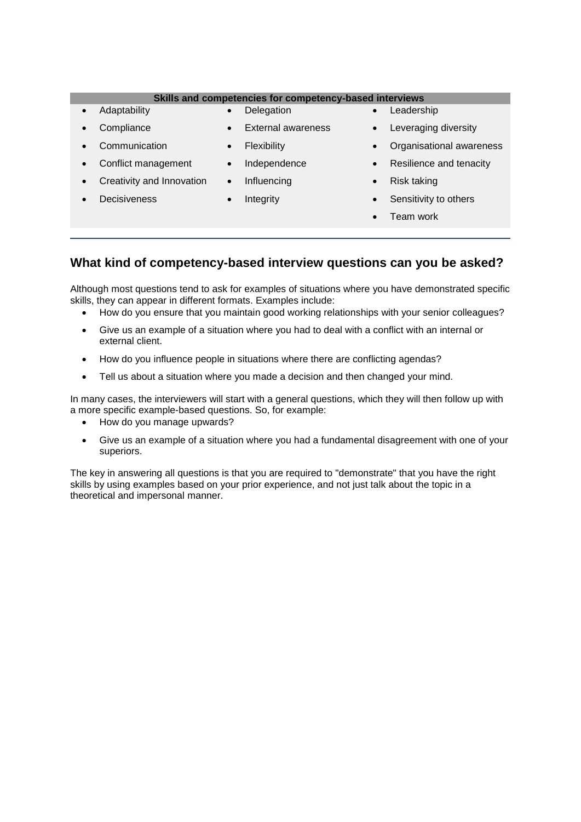#### **Skills and competencies for competency-based interviews**

- Adaptability
- Delegation
- **Compliance**
- External awareness
- Communication
- Flexibility
- Independence
- Conflict management • Creativity and Innovation
- **Decisiveness**
- Influencing
- Integrity

### • Leadership

- Leveraging diversity
- Organisational awareness
- Resilience and tenacity
- Risk taking
- Sensitivity to others
- Team work

# **What kind of competency-based interview questions can you be asked?**

Although most questions tend to ask for examples of situations where you have demonstrated specific skills, they can appear in different formats. Examples include:

- How do you ensure that you maintain good working relationships with your senior colleagues?
- Give us an example of a situation where you had to deal with a conflict with an internal or external client.
- How do you influence people in situations where there are conflicting agendas?
- Tell us about a situation where you made a decision and then changed your mind.

In many cases, the interviewers will start with a general questions, which they will then follow up with a more specific example-based questions. So, for example:

- How do you manage upwards?
- Give us an example of a situation where you had a fundamental disagreement with one of your superiors.

The key in answering all questions is that you are required to "demonstrate" that you have the right skills by using examples based on your prior experience, and not just talk about the topic in a theoretical and impersonal manner.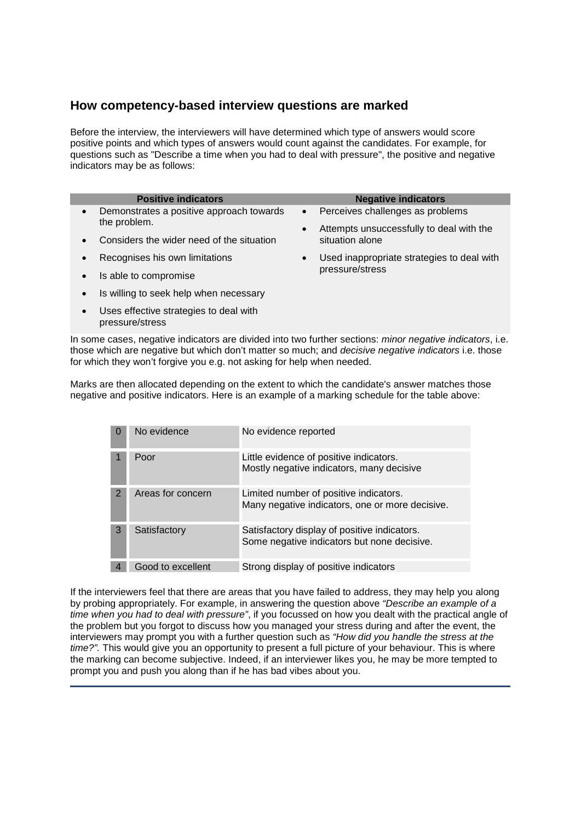# **How competency-based interview questions are marked**

Before the interview, the interviewers will have determined which type of answers would score positive points and which types of answers would count against the candidates. For example, for questions such as "Describe a time when you had to deal with pressure", the positive and negative indicators may be as follows:

|           | <b>Positive indicators</b>                                |                 | <b>Negative indicators</b>                                  |
|-----------|-----------------------------------------------------------|-----------------|-------------------------------------------------------------|
| $\bullet$ | Demonstrates a positive approach towards<br>the problem.  | $\bullet$       | Perceives challenges as problems                            |
| $\bullet$ | Considers the wider need of the situation                 | $\bullet$       | Attempts unsuccessfully to deal with the<br>situation alone |
| $\bullet$ | Recognises his own limitations                            | $\bullet$       | Used inappropriate strategies to deal with                  |
| $\bullet$ | Is able to compromise                                     | pressure/stress |                                                             |
| $\bullet$ | Is willing to seek help when necessary                    |                 |                                                             |
| $\bullet$ | Uses effective strategies to deal with<br>pressure/stress |                 |                                                             |

In some cases, negative indicators are divided into two further sections: *minor negative indicators*, i.e. those which are negative but which don't matter so much; and *decisive negative indicators* i.e. those for which they won't forgive you e.g. not asking for help when needed.

Marks are then allocated depending on the extent to which the candidate's answer matches those negative and positive indicators. Here is an example of a marking schedule for the table above:

| o | No evidence       | No evidence reported                                                                        |
|---|-------------------|---------------------------------------------------------------------------------------------|
|   | Poor              | Little evidence of positive indicators.<br>Mostly negative indicators, many decisive        |
| 2 | Areas for concern | Limited number of positive indicators.<br>Many negative indicators, one or more decisive.   |
| 3 | Satisfactory      | Satisfactory display of positive indicators.<br>Some negative indicators but none decisive. |
|   | Good to excellent | Strong display of positive indicators                                                       |

If the interviewers feel that there are areas that you have failed to address, they may help you along by probing appropriately. For example, in answering the question above *"Describe an example of a time when you had to deal with pressure"*, if you focussed on how you dealt with the practical angle of the problem but you forgot to discuss how you managed your stress during and after the event, the interviewers may prompt you with a further question such as *"How did you handle the stress at the time?".* This would give you an opportunity to present a full picture of your behaviour. This is where the marking can become subjective. Indeed, if an interviewer likes you, he may be more tempted to prompt you and push you along than if he has bad vibes about you.